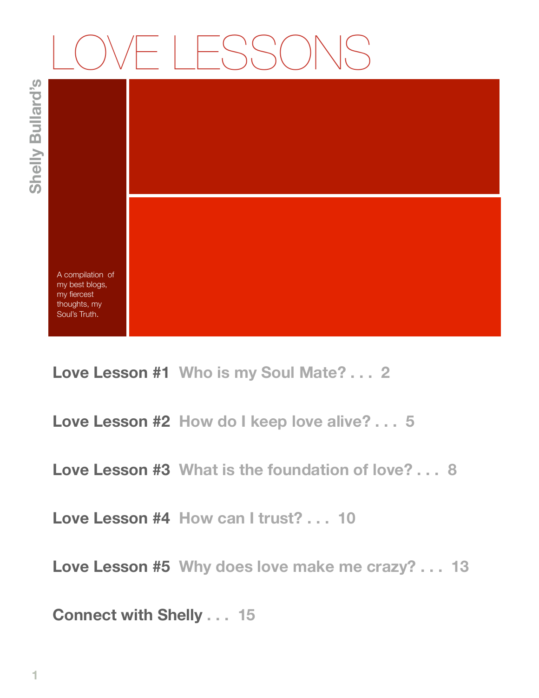# $|\vdash S S()$

**Shelly Bullard's** Shelly Bullard's



A compilation of my best blogs, my fiercest thoughts, my Soul's Truth.

**Love Lesson #1 Who is my Soul Mate? . . . 2** 

**Love Lesson #2 How do I keep love alive? . . . 5** 

**Love Lesson #3 What is the foundation of love? . . . 8**

**Love Lesson #4 How can I trust? . . . 10**

**Love Lesson #5 Why does love make me crazy? . . . 13**

**Connect with Shelly . . . 15**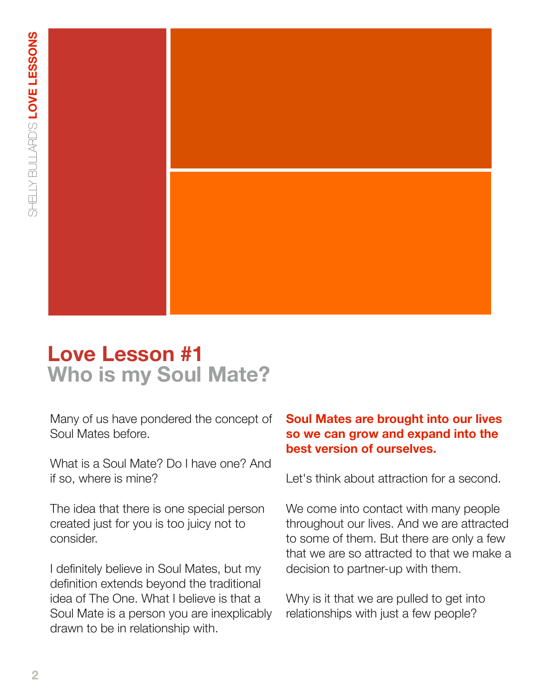

# **Love Lesson #1 Who is my Soul Mate?**

Many of us have pondered the concept of Soul Mates before.

What is a Soul Mate? Do I have one? And if so, where is mine?

The idea that there is one special person created just for you is too juicy not to consider.

I definitely believe in Soul Mates, but my definition extends beyond the traditional idea of The One. What I believe is that a Soul Mate is a person you are inexplicably drawn to be in relationship with.

## **Soul Mates are brought into our lives so we can grow and expand into the best version of ourselves.**

Let's think about attraction for a second.

We come into contact with many people throughout our lives. And we are attracted to some of them. But there are only a few that we are so attracted to that we make a decision to partner-up with them.

Why is it that we are pulled to get into relationships with just a few people?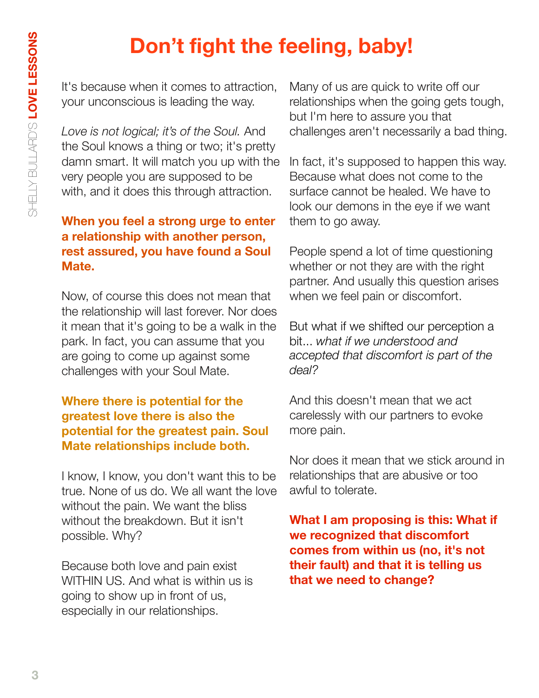# **Don't fight the feeling, baby!**

It's because when it comes to attraction, your unconscious is leading the way.

*Love is not logical; it's of the Soul.* And the Soul knows a thing or two; it's pretty damn smart. It will match you up with the very people you are supposed to be with, and it does this through attraction.

## **When you feel a strong urge to enter a relationship with another person, rest assured, you have found a Soul Mate.**

Now, of course this does not mean that the relationship will last forever. Nor does it mean that it's going to be a walk in the park. In fact, you can assume that you are going to come up against some challenges with your Soul Mate.

## **Where there is potential for the greatest love there is also the potential for the greatest pain. Soul Mate relationships include both.**

I know, I know, you don't want this to be true. None of us do. We all want the love without the pain. We want the bliss without the breakdown. But it isn't possible. Why?

Because both love and pain exist WITHIN US. And what is within us is going to show up in front of us, especially in our relationships.

Many of us are quick to write off our relationships when the going gets tough, but I'm here to assure you that challenges aren't necessarily a bad thing.

In fact, it's supposed to happen this way. Because what does not come to the surface cannot be healed. We have to look our demons in the eye if we want them to go away.

People spend a lot of time questioning whether or not they are with the right partner. And usually this question arises when we feel pain or discomfort.

But what if we shifted our perception a bit... *what if we understood and accepted that discomfort is part of the deal?*

And this doesn't mean that we act carelessly with our partners to evoke more pain.

Nor does it mean that we stick around in relationships that are abusive or too awful to tolerate.

**What I am proposing is this: What if we recognized that discomfort comes from within us (no, it's not their fault) and that it is telling us that we need to change?**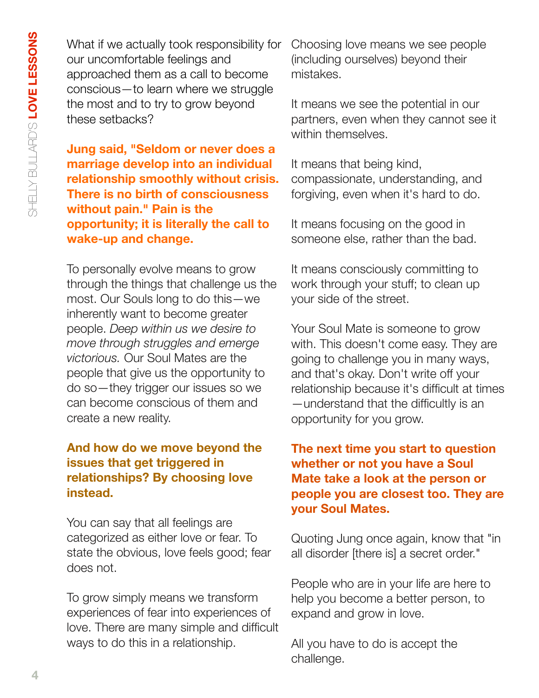What if we actually took responsibility for our uncomfortable feelings and approached them as a call to become conscious—to learn where we struggle the most and to try to grow beyond these setbacks?

**Jung said, "Seldom or never does a marriage develop into an individual relationship smoothly without crisis. There is no birth of consciousness without pain." Pain is the opportunity; it is literally the call to wake-up and change.**

To personally evolve means to grow through the things that challenge us the most. Our Souls long to do this—we inherently want to become greater people. *Deep within us we desire to move through struggles and emerge victorious.* Our Soul Mates are the people that give us the opportunity to do so—they trigger our issues so we can become conscious of them and create a new reality.

# **And how do we move beyond the issues that get triggered in relationships? By choosing love instead.**

You can say that all feelings are categorized as either love or fear. To state the obvious, love feels good; fear does not.

To grow simply means we transform experiences of fear into experiences of love. There are many simple and difficult ways to do this in a relationship.

Choosing love means we see people (including ourselves) beyond their mistakes.

It means we see the potential in our partners, even when they cannot see it within themselves.

It means that being kind, compassionate, understanding, and forgiving, even when it's hard to do.

It means focusing on the good in someone else, rather than the bad.

It means consciously committing to work through your stuff; to clean up your side of the street.

Your Soul Mate is someone to grow with. This doesn't come easy. They are going to challenge you in many ways, and that's okay. Don't write off your relationship because it's difficult at times —understand that the difficultly is an opportunity for you grow.

# **The next time you start to question whether or not you have a Soul Mate take a look at the person or people you are closest too. They are your Soul Mates.**

Quoting Jung once again, know that "in all disorder [there is] a secret order."

People who are in your life are here to help you become a better person, to expand and grow in love.

All you have to do is accept the challenge.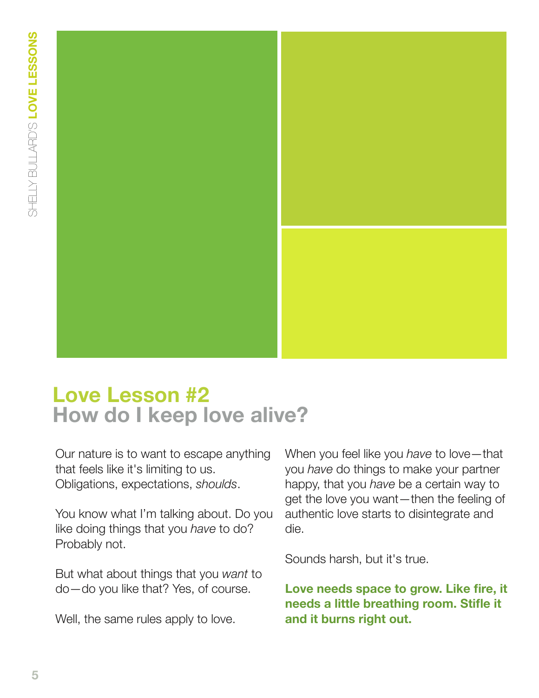

# **Love Lesson #2 How do I keep love alive?**

Our nature is to want to escape anything that feels like it's limiting to us. Obligations, expectations, *shoulds*.

You know what I'm talking about. Do you like doing things that you *have* to do? Probably not.

But what about things that you *want* to do—do you like that? Yes, of course.

Well, the same rules apply to love.

When you feel like you *have* to love—that you *have* do things to make your partner happy, that you *have* be a certain way to get the love you want—then the feeling of authentic love starts to disintegrate and die.

Sounds harsh, but it's true.

**Love needs space to grow. Like fire, it needs a little breathing room. Stifle it and it burns right out.**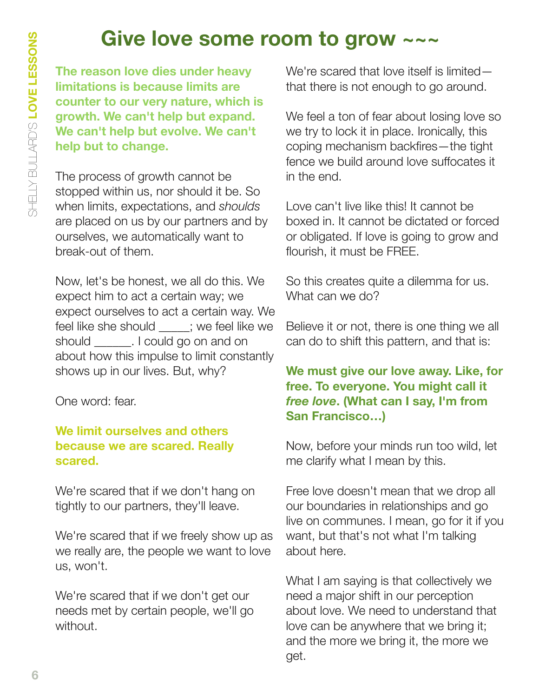# **Give love some room to grow ~~~**

**The reason love dies under heavy limitations is because limits are counter to our very nature, which is growth. We can't help but expand. We can't help but evolve. We can't help but to change.**

The process of growth cannot be stopped within us, nor should it be. So when limits, expectations, and *shoulds* are placed on us by our partners and by ourselves, we automatically want to break-out of them.

Now, let's be honest, we all do this. We expect him to act a certain way; we expect ourselves to act a certain way. We feel like she should : we feel like we should **could could go on and on** about how this impulse to limit constantly shows up in our lives. But, why?

One word: fear.

#### **We limit ourselves and others because we are scared. Really scared.**

We're scared that if we don't hang on tightly to our partners, they'll leave.

We're scared that if we freely show up as we really are, the people we want to love us, won't.

We're scared that if we don't get our needs met by certain people, we'll go without.

We're scared that love itself is limited that there is not enough to go around.

We feel a ton of fear about losing love so we try to lock it in place. Ironically, this coping mechanism backfires—the tight fence we build around love suffocates it in the end.

Love can't live like this! It cannot be boxed in. It cannot be dictated or forced or obligated. If love is going to grow and flourish, it must be FREE.

So this creates quite a dilemma for us. What can we do?

Believe it or not, there is one thing we all can do to shift this pattern, and that is:

# **We must give our love away. Like, for free. To everyone. You might call it**  *free love***. (What can I say, I'm from San Francisco…)**

Now, before your minds run too wild, let me clarify what I mean by this.

Free love doesn't mean that we drop all our boundaries in relationships and go live on communes. I mean, go for it if you want, but that's not what I'm talking about here.

What I am saying is that collectively we need a major shift in our perception about love. We need to understand that love can be anywhere that we bring it; and the more we bring it, the more we get.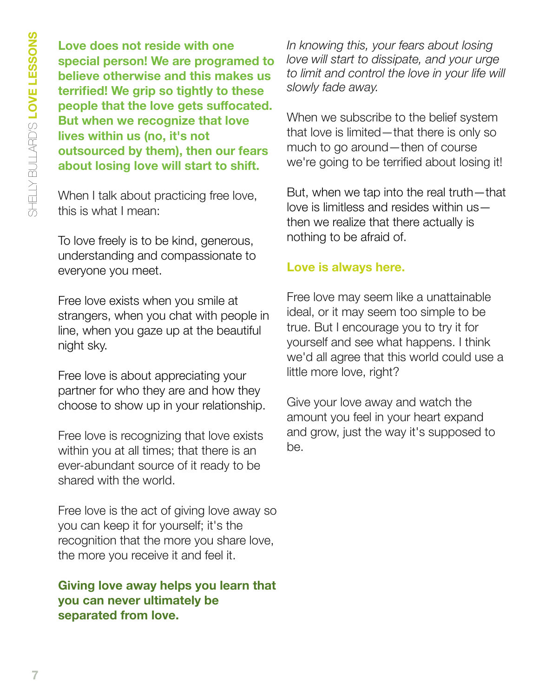**Love does not reside with one special person! We are programed to believe otherwise and this makes us terrified! We grip so tightly to these people that the love gets suffocated. But when we recognize that love lives within us (no, it's not outsourced by them), then our fears about losing love will start to shift.**

When I talk about practicing free love, this is what I mean:

To love freely is to be kind, generous, understanding and compassionate to everyone you meet.

Free love exists when you smile at strangers, when you chat with people in line, when you gaze up at the beautiful night sky.

Free love is about appreciating your partner for who they are and how they choose to show up in your relationship.

Free love is recognizing that love exists within you at all times; that there is an ever-abundant source of it ready to be shared with the world.

Free love is the act of giving love away so you can keep it for yourself; it's the recognition that the more you share love, the more you receive it and feel it.

#### **Giving love away helps you learn that you can never ultimately be separated from love.**

*In knowing this, your fears about losing love will start to dissipate, and your urge to limit and control the love in your life will slowly fade away.*

When we subscribe to the belief system that love is limited—that there is only so much to go around—then of course we're going to be terrified about losing it!

But, when we tap into the real truth—that love is limitless and resides within us then we realize that there actually is nothing to be afraid of.

# **Love is always here.**

Free love may seem like a unattainable ideal, or it may seem too simple to be true. But I encourage you to try it for yourself and see what happens. I think we'd all agree that this world could use a little more love, right?

Give your love away and watch the amount you feel in your heart expand and grow, just the way it's supposed to be.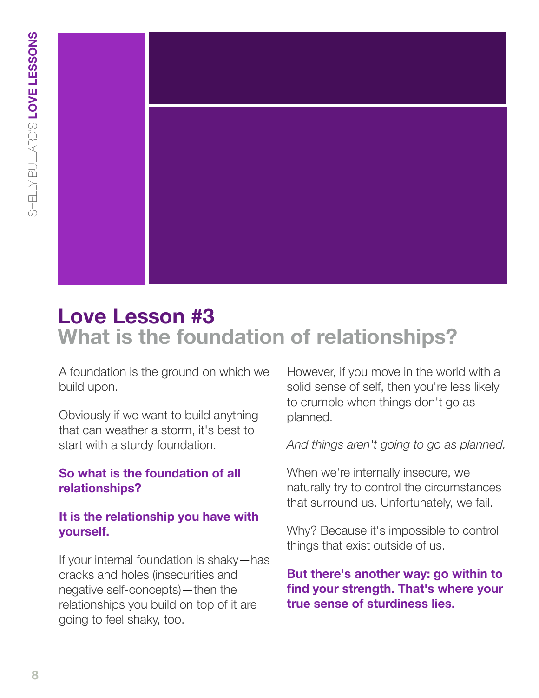

# **Love Lesson #3 What is the foundation of relationships?**

A foundation is the ground on which we build upon.

Obviously if we want to build anything that can weather a storm, it's best to start with a sturdy foundation.

# **So what is the foundation of all relationships?**

## **It is the relationship you have with yourself.**

If your internal foundation is shaky—has cracks and holes (insecurities and negative self-concepts)—then the relationships you build on top of it are going to feel shaky, too.

However, if you move in the world with a solid sense of self, then you're less likely to crumble when things don't go as planned.

#### *And things aren't going to go as planned.*

When we're internally insecure, we naturally try to control the circumstances that surround us. Unfortunately, we fail.

Why? Because it's impossible to control things that exist outside of us.

# **But there's another way: go within to find your strength. That's where your true sense of sturdiness lies.**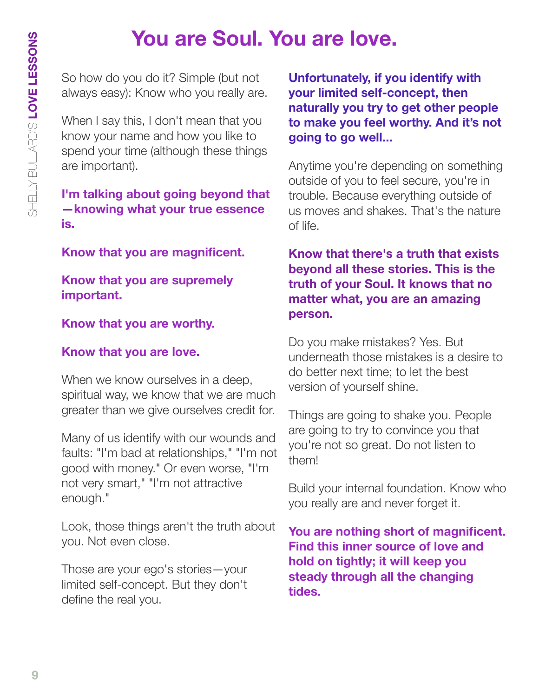# **You are Soul. You are love.**

So how do you do it? Simple (but not always easy): Know who you really are.

When I say this, I don't mean that you know your name and how you like to spend your time (although these things are important).

## **I'm talking about going beyond that —knowing what your true essence is.**

**Know that you are magnificent.** 

**Know that you are supremely important.** 

# **Know that you are worthy.**

# **Know that you are love.**

When we know ourselves in a deep, spiritual way, we know that we are much greater than we give ourselves credit for.

Many of us identify with our wounds and faults: "I'm bad at relationships," "I'm not good with money." Or even worse, "I'm not very smart," "I'm not attractive enough."

Look, those things aren't the truth about you. Not even close.

Those are your ego's stories—your limited self-concept. But they don't define the real you.

**Unfortunately, if you identify with your limited self-concept, then naturally you try to get other people to make you feel worthy. And it's not going to go well...**

Anytime you're depending on something outside of you to feel secure, you're in trouble. Because everything outside of us moves and shakes. That's the nature of life.

# **Know that there's a truth that exists beyond all these stories. This is the truth of your Soul. It knows that no matter what, you are an amazing person.**

Do you make mistakes? Yes. But underneath those mistakes is a desire to do better next time; to let the best version of yourself shine.

Things are going to shake you. People are going to try to convince you that you're not so great. Do not listen to them!

Build your internal foundation. Know who you really are and never forget it.

**You are nothing short of magnificent. Find this inner source of love and hold on tightly; it will keep you steady through all the changing tides.**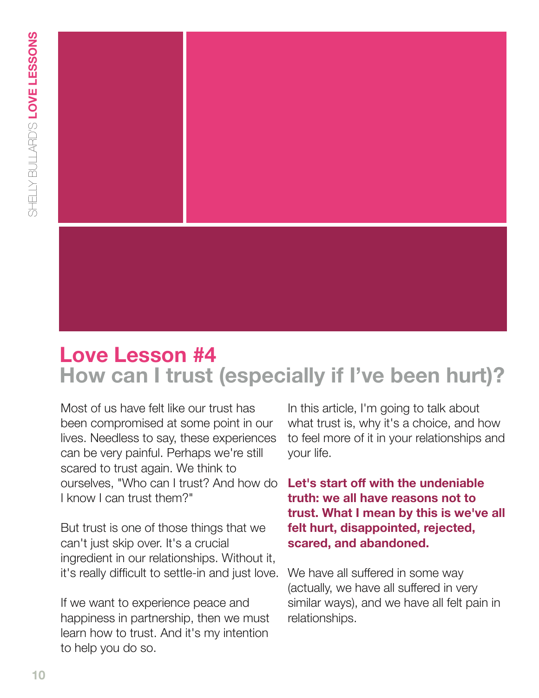

# **Love Lesson #4 How can I trust (especially if I've been hurt)?**

Most of us have felt like our trust has been compromised at some point in our lives. Needless to say, these experiences can be very painful. Perhaps we're still scared to trust again. We think to ourselves, "Who can I trust? And how do I know I can trust them?"

But trust is one of those things that we can't just skip over. It's a crucial ingredient in our relationships. Without it, it's really difficult to settle-in and just love.

If we want to experience peace and happiness in partnership, then we must learn how to trust. And it's my intention to help you do so.

In this article, I'm going to talk about what trust is, why it's a choice, and how to feel more of it in your relationships and your life.

# **Let's start off with the undeniable truth: we all have reasons not to trust. What I mean by this is we've all felt hurt, disappointed, rejected, scared, and abandoned.**

We have all suffered in some way (actually, we have all suffered in very similar ways), and we have all felt pain in relationships.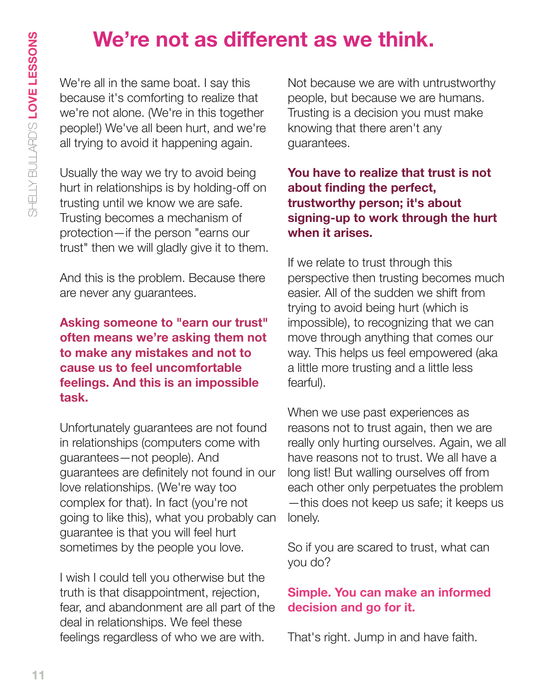# **We're not as different as we think.**

We're all in the same boat. I say this because it's comforting to realize that we're not alone. (We're in this together people!) We've all been hurt, and we're all trying to avoid it happening again.

Usually the way we try to avoid being hurt in relationships is by holding-off on trusting until we know we are safe. Trusting becomes a mechanism of protection—if the person "earns our trust" then we will gladly give it to them.

And this is the problem. Because there are never any guarantees.

# **Asking someone to "earn our trust" often means we're asking them not to make any mistakes and not to cause us to feel uncomfortable feelings. And this is an impossible task.**

Unfortunately guarantees are not found in relationships (computers come with guarantees—not people). And guarantees are definitely not found in our love relationships. (We're way too complex for that). In fact (you're not going to like this), what you probably can guarantee is that you will feel hurt sometimes by the people you love.

I wish I could tell you otherwise but the truth is that disappointment, rejection, fear, and abandonment are all part of the deal in relationships. We feel these feelings regardless of who we are with.

Not because we are with untrustworthy people, but because we are humans. Trusting is a decision you must make knowing that there aren't any guarantees.

**You have to realize that trust is not about finding the perfect, trustworthy person; it's about signing-up to work through the hurt when it arises.**

If we relate to trust through this perspective then trusting becomes much easier. All of the sudden we shift from trying to avoid being hurt (which is impossible), to recognizing that we can move through anything that comes our way. This helps us feel empowered (aka a little more trusting and a little less fearful).

When we use past experiences as reasons not to trust again, then we are really only hurting ourselves. Again, we all have reasons not to trust. We all have a long list! But walling ourselves off from each other only perpetuates the problem —this does not keep us safe; it keeps us lonely.

So if you are scared to trust, what can you do?

# **Simple. You can make an informed decision and go for it.**

That's right. Jump in and have faith.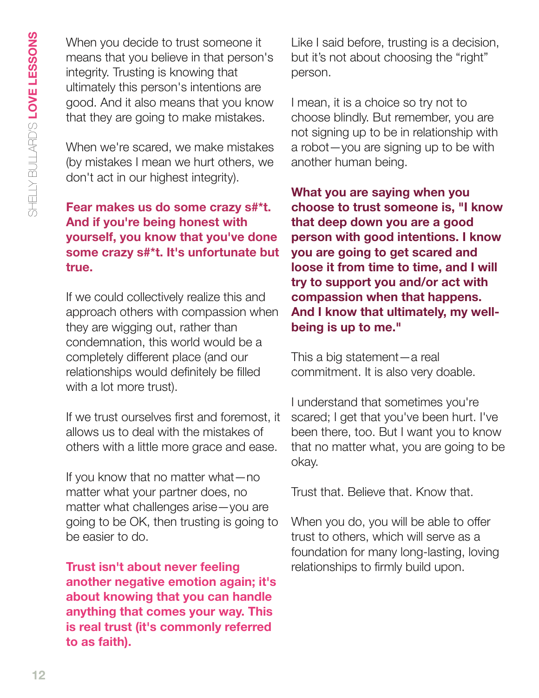When you decide to trust someone it means that you believe in that person's integrity. Trusting is knowing that ultimately this person's intentions are good. And it also means that you know that they are going to make mistakes.

When we're scared, we make mistakes (by mistakes I mean we hurt others, we don't act in our highest integrity).

# **Fear makes us do some crazy s#\*t. And if you're being honest with yourself, you know that you've done some crazy s#\*t. It's unfortunate but true.**

If we could collectively realize this and approach others with compassion when they are wigging out, rather than condemnation, this world would be a completely different place (and our relationships would definitely be filled with a lot more trust).

If we trust ourselves first and foremost, it allows us to deal with the mistakes of others with a little more grace and ease.

If you know that no matter what—no matter what your partner does, no matter what challenges arise—you are going to be OK, then trusting is going to be easier to do.

**Trust isn't about never feeling another negative emotion again; it's about knowing that you can handle anything that comes your way. This is real trust (it's commonly referred to as faith).**

Like I said before, trusting is a decision, but it's not about choosing the "right" person.

I mean, it is a choice so try not to choose blindly. But remember, you are not signing up to be in relationship with a robot—you are signing up to be with another human being.

**What you are saying when you choose to trust someone is, "I know that deep down you are a good person with good intentions. I know you are going to get scared and loose it from time to time, and I will try to support you and/or act with compassion when that happens. And I know that ultimately, my wellbeing is up to me."**

This a big statement—a real commitment. It is also very doable.

I understand that sometimes you're scared; I get that you've been hurt. I've been there, too. But I want you to know that no matter what, you are going to be okay.

Trust that. Believe that. Know that.

When you do, you will be able to offer trust to others, which will serve as a foundation for many long-lasting, loving relationships to firmly build upon.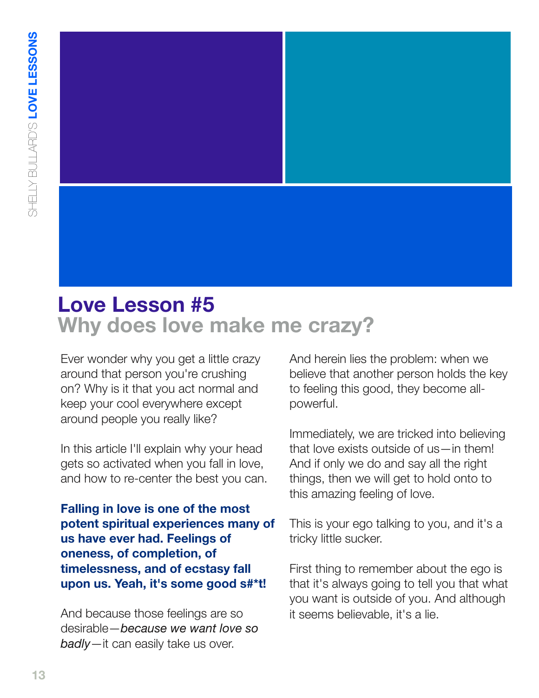

# **Love Lesson #5 Why does love make me crazy?**

Ever wonder why you get a little crazy around that person you're crushing on? Why is it that you act normal and keep your cool everywhere except around people you really like?

In this article I'll explain why your head gets so activated when you fall in love, and how to re-center the best you can.

**Falling in love is one of the most potent spiritual experiences many of us have ever had. Feelings of oneness, of completion, of timelessness, and of ecstasy fall upon us. Yeah, it's some good s#\*t!**

And because those feelings are so desirable—*because we want love so badly*—it can easily take us over.

And herein lies the problem: when we believe that another person holds the key to feeling this good, they become allpowerful.

Immediately, we are tricked into believing that love exists outside of us—in them! And if only we do and say all the right things, then we will get to hold onto to this amazing feeling of love.

This is your ego talking to you, and it's a tricky little sucker.

First thing to remember about the ego is that it's always going to tell you that what you want is outside of you. And although it seems believable, it's a lie.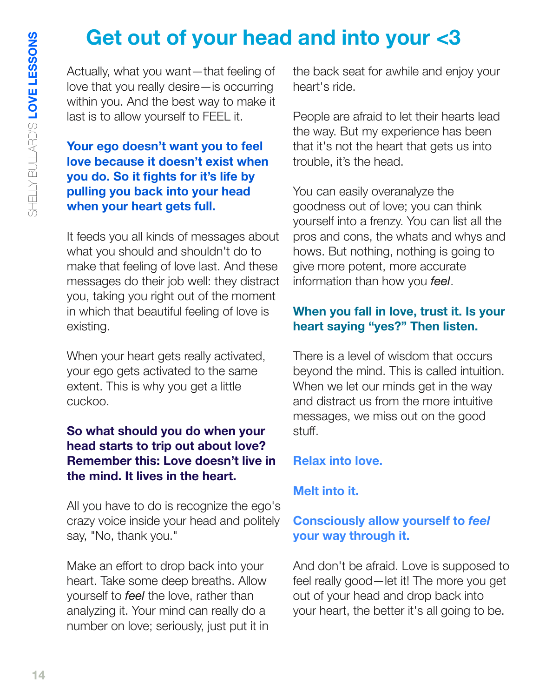# **Get out of your head and into your <3**

Actually, what you want—that feeling of love that you really desire—is occurring within you. And the best way to make it last is to allow yourself to FEEL it.

# **Your ego doesn't want you to feel love because it doesn't exist when you do. So it fights for it's life by pulling you back into your head when your heart gets full.**

It feeds you all kinds of messages about what you should and shouldn't do to make that feeling of love last. And these messages do their job well: they distract you, taking you right out of the moment in which that beautiful feeling of love is existing.

When your heart gets really activated, your ego gets activated to the same extent. This is why you get a little cuckoo.

## **So what should you do when your head starts to trip out about love? Remember this: Love doesn't live in the mind. It lives in the heart.**

All you have to do is recognize the ego's crazy voice inside your head and politely say, "No, thank you."

Make an effort to drop back into your heart. Take some deep breaths. Allow yourself to *feel* the love, rather than analyzing it. Your mind can really do a number on love; seriously, just put it in the back seat for awhile and enjoy your heart's ride.

People are afraid to let their hearts lead the way. But my experience has been that it's not the heart that gets us into trouble, it's the head.

You can easily overanalyze the goodness out of love; you can think yourself into a frenzy. You can list all the pros and cons, the whats and whys and hows. But nothing, nothing is going to give more potent, more accurate information than how you *feel*.

# **When you fall in love, trust it. Is your heart saying "yes?" Then listen.**

There is a level of wisdom that occurs beyond the mind. This is called intuition. When we let our minds get in the way and distract us from the more intuitive messages, we miss out on the good stuff.

# **Relax into love.**

# **Melt into it.**

# **Consciously allow yourself to** *feel* **your way through it.**

And don't be afraid. Love is supposed to feel really good—let it! The more you get out of your head and drop back into your heart, the better it's all going to be.